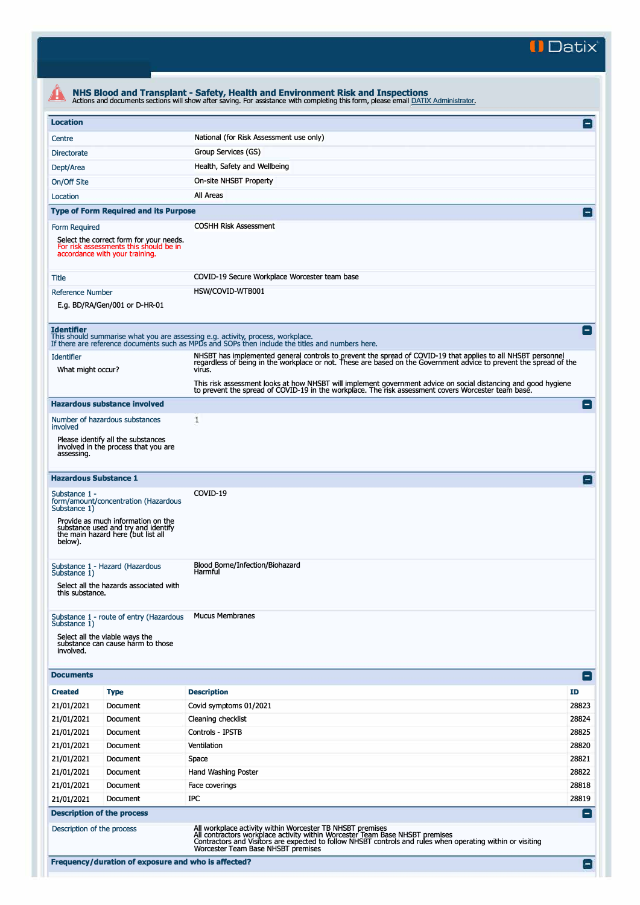**II Datix'** 

| <b>Location</b>                                                                                                                      |  |                                                                                                                                                                                                                                             |                          |  |  |  |
|--------------------------------------------------------------------------------------------------------------------------------------|--|---------------------------------------------------------------------------------------------------------------------------------------------------------------------------------------------------------------------------------------------|--------------------------|--|--|--|
|                                                                                                                                      |  | National (for Risk Assessment use only)                                                                                                                                                                                                     | $\mathsf{L}$             |  |  |  |
| Centre                                                                                                                               |  |                                                                                                                                                                                                                                             |                          |  |  |  |
| <b>Directorate</b>                                                                                                                   |  | Group Services (GS)                                                                                                                                                                                                                         |                          |  |  |  |
| Dept/Area                                                                                                                            |  | Health, Safety and Wellbeing                                                                                                                                                                                                                |                          |  |  |  |
| On-site NHSBT Property<br>On/Off Site                                                                                                |  |                                                                                                                                                                                                                                             |                          |  |  |  |
| Location                                                                                                                             |  | All Areas                                                                                                                                                                                                                                   |                          |  |  |  |
| <b>Type of Form Required and its Purpose</b>                                                                                         |  |                                                                                                                                                                                                                                             |                          |  |  |  |
| Form Required<br>Select the correct form for your needs.<br>For risk assessments this should be in<br>accordance with your training. |  | <b>COSHH Risk Assessment</b>                                                                                                                                                                                                                |                          |  |  |  |
| Title                                                                                                                                |  | COVID-19 Secure Workplace Worcester team base                                                                                                                                                                                               |                          |  |  |  |
| Reference Number                                                                                                                     |  | HSW/COVID-WTB001                                                                                                                                                                                                                            |                          |  |  |  |
| E.g. BD/RA/Gen/001 or D-HR-01                                                                                                        |  |                                                                                                                                                                                                                                             |                          |  |  |  |
| <b>Identifier</b>                                                                                                                    |  | This should summarise what you are assessing e.g. activity, process, workplace.<br>If there are reference documents such as MPDs and SOPs then include the titles and numbers here.                                                         | $\overline{\phantom{a}}$ |  |  |  |
| <b>Identifier</b><br>What might occur?                                                                                               |  | NHSBT has implemented general controls to prevent the spread of COVID-19 that applies to all NHSBT personnel<br>regardless of being in the workplace or not. These are based on the Government advice to prevent the spread of th<br>virus. |                          |  |  |  |
|                                                                                                                                      |  | This risk assessment looks at how NHSBT will implement government advice on social distancing and good hygiene<br>to prevent the spread of COVID-19 in the workplace. The risk assessment covers Worcester team base.                       |                          |  |  |  |
| <b>Hazardous substance involved</b>                                                                                                  |  |                                                                                                                                                                                                                                             | i — i                    |  |  |  |
| Number of hazardous substances<br>involved                                                                                           |  | 1                                                                                                                                                                                                                                           |                          |  |  |  |
| Please identify all the substances<br>involved in the process that you are<br>assessing.                                             |  |                                                                                                                                                                                                                                             |                          |  |  |  |
| <b>Hazardous Substance 1</b>                                                                                                         |  |                                                                                                                                                                                                                                             |                          |  |  |  |
| Substance 1 -<br>form/amount/concentration (Hazardous<br>Substance 1)                                                                |  | COVID-19                                                                                                                                                                                                                                    |                          |  |  |  |
| Provide as much information on the<br>substance used and try and identify<br>the main hazard here (but list all<br>below).           |  |                                                                                                                                                                                                                                             |                          |  |  |  |
| Substance 1 - Hazard (Hazardous<br>Substance 1)                                                                                      |  | Blood Borne/Infection/Biohazard<br>Harmful                                                                                                                                                                                                  |                          |  |  |  |
| Select all the hazards associated with<br>this substance.                                                                            |  |                                                                                                                                                                                                                                             |                          |  |  |  |
| Substance 1 - route of entry (Hazardous<br>Substance 1)                                                                              |  | <b>Mucus Membranes</b>                                                                                                                                                                                                                      |                          |  |  |  |
| Select all the viable ways the<br>substance can cause harm to those<br>involved.                                                     |  |                                                                                                                                                                                                                                             |                          |  |  |  |
| <b>Documents</b>                                                                                                                     |  |                                                                                                                                                                                                                                             | E                        |  |  |  |
| <b>Created</b><br><b>Type</b>                                                                                                        |  | <b>Description</b>                                                                                                                                                                                                                          | ID                       |  |  |  |
| 21/01/2021<br>Document                                                                                                               |  | Covid symptoms 01/2021                                                                                                                                                                                                                      | 28823                    |  |  |  |
| 21/01/2021<br>Document                                                                                                               |  | Cleaning checklist                                                                                                                                                                                                                          | 28824                    |  |  |  |
| 21/01/2021<br>Document                                                                                                               |  | Controls - IPSTB                                                                                                                                                                                                                            | 28825                    |  |  |  |
| 21/01/2021<br>Document                                                                                                               |  | Ventilation                                                                                                                                                                                                                                 | 28820                    |  |  |  |
| 21/01/2021<br>Document                                                                                                               |  | Space                                                                                                                                                                                                                                       | 28821                    |  |  |  |
| 21/01/2021<br>Document                                                                                                               |  | Hand Washing Poster                                                                                                                                                                                                                         | 28822                    |  |  |  |
| 21/01/2021<br>Document                                                                                                               |  | Face coverings                                                                                                                                                                                                                              | 28818                    |  |  |  |
| 21/01/2021<br>Document                                                                                                               |  | IPC                                                                                                                                                                                                                                         | 28819                    |  |  |  |
|                                                                                                                                      |  |                                                                                                                                                                                                                                             |                          |  |  |  |
| <b>Description of the process</b>                                                                                                    |  |                                                                                                                                                                                                                                             | $\vert - \vert$          |  |  |  |
| Description of the process                                                                                                           |  | All workplace activity within Worcester TB NHSBT premises<br>All contractors workplace activity within Worcester Team Base NHSBT premises                                                                                                   |                          |  |  |  |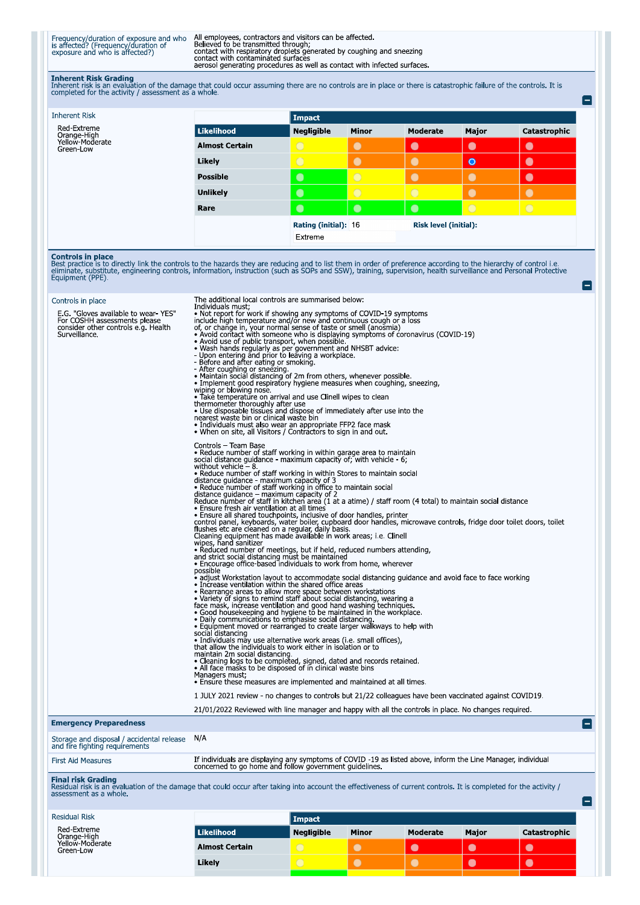Frequency/duration of exposure and who All employees, contractors and visitors can be affected.<br>
is affected? (Frequency/duration of Believed to be transmitted through;<br>
exposure and who is affected?) contact with respirat

Ō

Inherent Risk Grading<br>Inherent risk is an evaluation of the damage that could occur assuming there are no controls are in place or there is catastrophic failure of the controls. It is<br>completed for the activity / assessmen

| <b>Inherent Risk</b>                                                                                                                                                                                                                                                                                                                                                                                                                                                                                                                       |                                                                                                                                                                                                                                                                                                                                                                                                                                                                                                                                                                                                                                                                                                                                                                                                                                                                                                                                                                                                                                                                                                                                                                                                                                                                                                                                                                                                                                                                                                                                                                                                                                                                                                                                                                                                                                                                                                                                                                                                                                                                                                                                                                                                                                                                                                                                                                                                                                                                                                                                                                                                                                                                                                                                                                                                                                                                                                                                                                                                                                                                                                                                                                                                                                                                                                                                            | <b>Impact</b>               |            |                              |                |              |  |  |
|--------------------------------------------------------------------------------------------------------------------------------------------------------------------------------------------------------------------------------------------------------------------------------------------------------------------------------------------------------------------------------------------------------------------------------------------------------------------------------------------------------------------------------------------|--------------------------------------------------------------------------------------------------------------------------------------------------------------------------------------------------------------------------------------------------------------------------------------------------------------------------------------------------------------------------------------------------------------------------------------------------------------------------------------------------------------------------------------------------------------------------------------------------------------------------------------------------------------------------------------------------------------------------------------------------------------------------------------------------------------------------------------------------------------------------------------------------------------------------------------------------------------------------------------------------------------------------------------------------------------------------------------------------------------------------------------------------------------------------------------------------------------------------------------------------------------------------------------------------------------------------------------------------------------------------------------------------------------------------------------------------------------------------------------------------------------------------------------------------------------------------------------------------------------------------------------------------------------------------------------------------------------------------------------------------------------------------------------------------------------------------------------------------------------------------------------------------------------------------------------------------------------------------------------------------------------------------------------------------------------------------------------------------------------------------------------------------------------------------------------------------------------------------------------------------------------------------------------------------------------------------------------------------------------------------------------------------------------------------------------------------------------------------------------------------------------------------------------------------------------------------------------------------------------------------------------------------------------------------------------------------------------------------------------------------------------------------------------------------------------------------------------------------------------------------------------------------------------------------------------------------------------------------------------------------------------------------------------------------------------------------------------------------------------------------------------------------------------------------------------------------------------------------------------------------------------------------------------------------------------------------------------------|-----------------------------|------------|------------------------------|----------------|--------------|--|--|
| Red-Extreme<br>Orange-High                                                                                                                                                                                                                                                                                                                                                                                                                                                                                                                 | <b>Likelihood</b>                                                                                                                                                                                                                                                                                                                                                                                                                                                                                                                                                                                                                                                                                                                                                                                                                                                                                                                                                                                                                                                                                                                                                                                                                                                                                                                                                                                                                                                                                                                                                                                                                                                                                                                                                                                                                                                                                                                                                                                                                                                                                                                                                                                                                                                                                                                                                                                                                                                                                                                                                                                                                                                                                                                                                                                                                                                                                                                                                                                                                                                                                                                                                                                                                                                                                                                          | Negligible                  | Minor      | <b>Moderate</b>              | Major          | Catastrophic |  |  |
| Yellow-Moderate<br>Green-Low                                                                                                                                                                                                                                                                                                                                                                                                                                                                                                               | <b>Almost Certain</b>                                                                                                                                                                                                                                                                                                                                                                                                                                                                                                                                                                                                                                                                                                                                                                                                                                                                                                                                                                                                                                                                                                                                                                                                                                                                                                                                                                                                                                                                                                                                                                                                                                                                                                                                                                                                                                                                                                                                                                                                                                                                                                                                                                                                                                                                                                                                                                                                                                                                                                                                                                                                                                                                                                                                                                                                                                                                                                                                                                                                                                                                                                                                                                                                                                                                                                                      | $\bigcirc$                  | $\bullet$  | $\bullet$                    | $\bullet$      | $\bullet$    |  |  |
|                                                                                                                                                                                                                                                                                                                                                                                                                                                                                                                                            | Likely                                                                                                                                                                                                                                                                                                                                                                                                                                                                                                                                                                                                                                                                                                                                                                                                                                                                                                                                                                                                                                                                                                                                                                                                                                                                                                                                                                                                                                                                                                                                                                                                                                                                                                                                                                                                                                                                                                                                                                                                                                                                                                                                                                                                                                                                                                                                                                                                                                                                                                                                                                                                                                                                                                                                                                                                                                                                                                                                                                                                                                                                                                                                                                                                                                                                                                                                     | $\overline{O}$              | $\bullet$  | $\bullet$                    | $\bullet$      | $\bullet$    |  |  |
|                                                                                                                                                                                                                                                                                                                                                                                                                                                                                                                                            | <b>Possible</b>                                                                                                                                                                                                                                                                                                                                                                                                                                                                                                                                                                                                                                                                                                                                                                                                                                                                                                                                                                                                                                                                                                                                                                                                                                                                                                                                                                                                                                                                                                                                                                                                                                                                                                                                                                                                                                                                                                                                                                                                                                                                                                                                                                                                                                                                                                                                                                                                                                                                                                                                                                                                                                                                                                                                                                                                                                                                                                                                                                                                                                                                                                                                                                                                                                                                                                                            | $\bullet$                   | $\bigcirc$ | $\bullet$                    | $\bullet$      | $\bullet$    |  |  |
|                                                                                                                                                                                                                                                                                                                                                                                                                                                                                                                                            | Unlikely                                                                                                                                                                                                                                                                                                                                                                                                                                                                                                                                                                                                                                                                                                                                                                                                                                                                                                                                                                                                                                                                                                                                                                                                                                                                                                                                                                                                                                                                                                                                                                                                                                                                                                                                                                                                                                                                                                                                                                                                                                                                                                                                                                                                                                                                                                                                                                                                                                                                                                                                                                                                                                                                                                                                                                                                                                                                                                                                                                                                                                                                                                                                                                                                                                                                                                                                   | $\bullet$                   | $\bigcirc$ | $\bigcirc$                   | $\bullet$      | $\bullet$    |  |  |
|                                                                                                                                                                                                                                                                                                                                                                                                                                                                                                                                            | Rare                                                                                                                                                                                                                                                                                                                                                                                                                                                                                                                                                                                                                                                                                                                                                                                                                                                                                                                                                                                                                                                                                                                                                                                                                                                                                                                                                                                                                                                                                                                                                                                                                                                                                                                                                                                                                                                                                                                                                                                                                                                                                                                                                                                                                                                                                                                                                                                                                                                                                                                                                                                                                                                                                                                                                                                                                                                                                                                                                                                                                                                                                                                                                                                                                                                                                                                                       | $\bullet$                   | $\bullet$  | $\bullet$                    | $\overline{O}$ | $\bigcirc$   |  |  |
|                                                                                                                                                                                                                                                                                                                                                                                                                                                                                                                                            |                                                                                                                                                                                                                                                                                                                                                                                                                                                                                                                                                                                                                                                                                                                                                                                                                                                                                                                                                                                                                                                                                                                                                                                                                                                                                                                                                                                                                                                                                                                                                                                                                                                                                                                                                                                                                                                                                                                                                                                                                                                                                                                                                                                                                                                                                                                                                                                                                                                                                                                                                                                                                                                                                                                                                                                                                                                                                                                                                                                                                                                                                                                                                                                                                                                                                                                                            | <b>Rating (initial): 16</b> |            | <b>Risk level (initial):</b> |                |              |  |  |
|                                                                                                                                                                                                                                                                                                                                                                                                                                                                                                                                            |                                                                                                                                                                                                                                                                                                                                                                                                                                                                                                                                                                                                                                                                                                                                                                                                                                                                                                                                                                                                                                                                                                                                                                                                                                                                                                                                                                                                                                                                                                                                                                                                                                                                                                                                                                                                                                                                                                                                                                                                                                                                                                                                                                                                                                                                                                                                                                                                                                                                                                                                                                                                                                                                                                                                                                                                                                                                                                                                                                                                                                                                                                                                                                                                                                                                                                                                            | Extreme                     |            |                              |                |              |  |  |
| <b>Controls in place</b><br>Best practice is to directly link the controls to the hazards they are reducing and to list them in order of preference according to the hierarchy of control i.e.<br>eliminate, substitute, engineering controls, information, instruction (such as SOPs and SSW), training, supervision, health surveillance and Personal Protective<br>Equipment (PPE).<br>Controls in place<br>E.G. "Gloves available to wear-YES"<br>For COSHH assessments please<br>consider other controls e.g. Health<br>Surveillance. | The additional local controls are summarised below:<br>Individuals must;<br>• Not report for work if showing any symptoms of COVID-19 symptoms<br>include high temperature and/or new and continuous cough or a loss<br>of, or change in, your normal sense of taste or smell (anosmia)<br>• Avoid contact with someone who is displaying symptoms of coronavirus (COVID-19)<br>• Avoid use of public transport, when possible<br>. Wash hands regularly as per government and NHSBT advice:<br>- Upon entering and prior to leaving a workplace.<br>- Before and after eating or smoking.<br>- After coughing or sneezing.<br>• Maintain social distancing of 2m from others, whenever possible.<br>• Implement good respiratory hygiene measures when coughing, sneezing,<br>wiping or blowing nose.<br>• Take temperature on arrival and use Clinell wipes to clean<br>thermometer thoroughly after use<br>. Use disposable tissues and dispose of immediately after use into the<br>nearest waste bin or clinical waste bin<br>• Individuals must also wear an appropriate FFP2 face mask<br>• When on site, all Visitors / Contractors to sign in and out<br>Controls - Team Base<br>• Reduce number of staff working in within garage area to maintain<br>social distance guidance - maximum capacity of, with vehicle - 6;<br>without vehicle $-8$ .<br>• Reduce number of staff working in within Stores to maintain social<br>distance guidance - maximum capacity of 3<br>• Reduce number of staff working in office to maintain social<br>distance guidance – maximum capacity of 2<br>Reduce number of staff in kitchen area (1 at a atime) / staff room (4 total) to maintain social distance<br>· Ensure fresh air ventilation at all times<br>• Ensure all shared touchpoints, inclusive of door handles, printer<br>control panel, keyboards, water boiler, cupboard door handles, microwave controls, fridge door toilet doors, toilet<br>flushes etc are cleaned on a regular, daily basis.<br>Cleaning equipment has made available in work areas; i.e. Clinell<br>wipes, hand sanitizer<br>· Reduced number of meetings, but if held, reduced numbers attending,<br>and strict social distancing must be maintained<br>• Encourage office-based individuals to work from home, wherever<br>possible<br>• adjust Workstation layout to accommodate social distancing quidance and avoid face to face working<br>• Increase ventilation within the shared office areas<br>· Rearrange areas to allow more space between workstations<br>• Variety of signs to remind staff about social distancing, wearing a<br>face mask, increase ventilation and good hand washing techniques.<br>. Good housekeeping and hygiene to be maintained in the workplace.<br>• Daily communications to emphasise social distancing.<br>• Equipment moved or rearranged to create larger walkways to help with<br>social distancing<br>• Individuals may use alternative work areas (i.e. small offices),<br>that allow the individuals to work either in isolation or to<br>maintain 2m social distancing.<br>• Cleaning logs to be completed, signed, dated and records retained.<br>• All face masks to be disposed of in clinical waste bins<br>Managers must;<br>• Ensure these measures are implemented and maintained at all times. |                             |            |                              |                |              |  |  |
|                                                                                                                                                                                                                                                                                                                                                                                                                                                                                                                                            | 1 JULY 2021 review - no changes to controls but 21/22 colleagues have been vaccinated against COVID19.                                                                                                                                                                                                                                                                                                                                                                                                                                                                                                                                                                                                                                                                                                                                                                                                                                                                                                                                                                                                                                                                                                                                                                                                                                                                                                                                                                                                                                                                                                                                                                                                                                                                                                                                                                                                                                                                                                                                                                                                                                                                                                                                                                                                                                                                                                                                                                                                                                                                                                                                                                                                                                                                                                                                                                                                                                                                                                                                                                                                                                                                                                                                                                                                                                     |                             |            |                              |                |              |  |  |
|                                                                                                                                                                                                                                                                                                                                                                                                                                                                                                                                            | 21/01/2022 Reviewed with line manager and happy with all the controls in place. No changes required.                                                                                                                                                                                                                                                                                                                                                                                                                                                                                                                                                                                                                                                                                                                                                                                                                                                                                                                                                                                                                                                                                                                                                                                                                                                                                                                                                                                                                                                                                                                                                                                                                                                                                                                                                                                                                                                                                                                                                                                                                                                                                                                                                                                                                                                                                                                                                                                                                                                                                                                                                                                                                                                                                                                                                                                                                                                                                                                                                                                                                                                                                                                                                                                                                                       |                             |            |                              |                |              |  |  |
| <b>Emergency Preparedness</b>                                                                                                                                                                                                                                                                                                                                                                                                                                                                                                              |                                                                                                                                                                                                                                                                                                                                                                                                                                                                                                                                                                                                                                                                                                                                                                                                                                                                                                                                                                                                                                                                                                                                                                                                                                                                                                                                                                                                                                                                                                                                                                                                                                                                                                                                                                                                                                                                                                                                                                                                                                                                                                                                                                                                                                                                                                                                                                                                                                                                                                                                                                                                                                                                                                                                                                                                                                                                                                                                                                                                                                                                                                                                                                                                                                                                                                                                            |                             |            |                              |                |              |  |  |
| Storage and disposal / accidental release<br>and fire fighting requirements                                                                                                                                                                                                                                                                                                                                                                                                                                                                | N/A                                                                                                                                                                                                                                                                                                                                                                                                                                                                                                                                                                                                                                                                                                                                                                                                                                                                                                                                                                                                                                                                                                                                                                                                                                                                                                                                                                                                                                                                                                                                                                                                                                                                                                                                                                                                                                                                                                                                                                                                                                                                                                                                                                                                                                                                                                                                                                                                                                                                                                                                                                                                                                                                                                                                                                                                                                                                                                                                                                                                                                                                                                                                                                                                                                                                                                                                        |                             |            |                              |                |              |  |  |
| <b>First Aid Measures</b>                                                                                                                                                                                                                                                                                                                                                                                                                                                                                                                  | If individuals are displaying any symptoms of COVID-19 as listed above, inform the Line Manager, individual<br>concerned to go home and follow government guidelines.                                                                                                                                                                                                                                                                                                                                                                                                                                                                                                                                                                                                                                                                                                                                                                                                                                                                                                                                                                                                                                                                                                                                                                                                                                                                                                                                                                                                                                                                                                                                                                                                                                                                                                                                                                                                                                                                                                                                                                                                                                                                                                                                                                                                                                                                                                                                                                                                                                                                                                                                                                                                                                                                                                                                                                                                                                                                                                                                                                                                                                                                                                                                                                      |                             |            |                              |                |              |  |  |
| Final risk Grading<br>Residual risk is an evaluation of the damage that could occur after taking into account the effectiveness of current controls. It is completed for the activity /<br>assessment as a whole.                                                                                                                                                                                                                                                                                                                          |                                                                                                                                                                                                                                                                                                                                                                                                                                                                                                                                                                                                                                                                                                                                                                                                                                                                                                                                                                                                                                                                                                                                                                                                                                                                                                                                                                                                                                                                                                                                                                                                                                                                                                                                                                                                                                                                                                                                                                                                                                                                                                                                                                                                                                                                                                                                                                                                                                                                                                                                                                                                                                                                                                                                                                                                                                                                                                                                                                                                                                                                                                                                                                                                                                                                                                                                            |                             |            |                              |                |              |  |  |
| <b>Residual Risk</b>                                                                                                                                                                                                                                                                                                                                                                                                                                                                                                                       |                                                                                                                                                                                                                                                                                                                                                                                                                                                                                                                                                                                                                                                                                                                                                                                                                                                                                                                                                                                                                                                                                                                                                                                                                                                                                                                                                                                                                                                                                                                                                                                                                                                                                                                                                                                                                                                                                                                                                                                                                                                                                                                                                                                                                                                                                                                                                                                                                                                                                                                                                                                                                                                                                                                                                                                                                                                                                                                                                                                                                                                                                                                                                                                                                                                                                                                                            | Impact                      |            |                              |                |              |  |  |

| lesiduai kisk                               |                       | Impact            |              |          |              |              |
|---------------------------------------------|-----------------------|-------------------|--------------|----------|--------------|--------------|
| Red-Extreme                                 | <b>Likelihood</b>     | <b>Negligible</b> | <b>Minor</b> | Moderate | <b>Major</b> | Catastrophic |
| Orange-High<br>Yellow-Moderate<br>Green-Low | <b>Almost Certain</b> |                   |              |          |              | $\bullet$    |
|                                             | Likely                |                   |              |          |              | $\bullet$    |